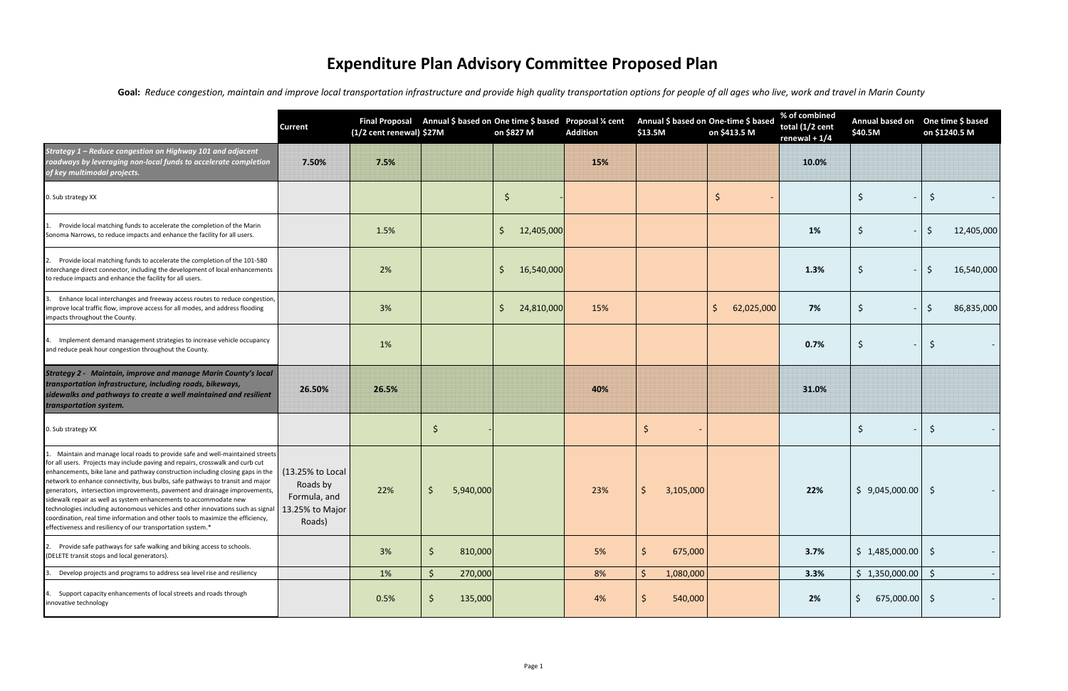|                                                                                                                                                                                                                                                                                                                                                                                                                                                                                                                                                                                                                                                                                                                           | <b>Current</b>                                                            | (1/2 cent renewal) \$27M | Final Proposal Annual \$ based on One time \$ based Proposal % cent | on \$827 M                 | <b>Addition</b> | Annual \$ based on One-time \$ based<br>\$13.5M | on \$413.5 M     | % of combined<br>total (1/2 cent<br>renewal + $1/4$ | Annual based on One time \$ based<br>\$40.5M | on \$1240.5 M  |
|---------------------------------------------------------------------------------------------------------------------------------------------------------------------------------------------------------------------------------------------------------------------------------------------------------------------------------------------------------------------------------------------------------------------------------------------------------------------------------------------------------------------------------------------------------------------------------------------------------------------------------------------------------------------------------------------------------------------------|---------------------------------------------------------------------------|--------------------------|---------------------------------------------------------------------|----------------------------|-----------------|-------------------------------------------------|------------------|-----------------------------------------------------|----------------------------------------------|----------------|
| Strategy 1 - Reduce congestion on Highway 101 and adjacent<br>roadways by leveraging non-local funds to accelerate completion<br>of key multimodal projects.                                                                                                                                                                                                                                                                                                                                                                                                                                                                                                                                                              | 7.50%                                                                     | 7.5%                     |                                                                     |                            | 15%             |                                                 |                  | 10.0%                                               |                                              |                |
| 0. Sub strategy XX                                                                                                                                                                                                                                                                                                                                                                                                                                                                                                                                                                                                                                                                                                        |                                                                           |                          |                                                                     | \$                         |                 |                                                 | -S               |                                                     | $\zeta$                                      | S              |
| Provide local matching funds to accelerate the completion of the Marin<br>Sonoma Narrows, to reduce impacts and enhance the facility for all users.                                                                                                                                                                                                                                                                                                                                                                                                                                                                                                                                                                       |                                                                           | 1.5%                     |                                                                     | $\zeta$<br>12,405,000      |                 |                                                 |                  | 1%                                                  | \$                                           | 12,405,000     |
| Provide local matching funds to accelerate the completion of the 101-580<br>interchange direct connector, including the development of local enhancements<br>to reduce impacts and enhance the facility for all users.                                                                                                                                                                                                                                                                                                                                                                                                                                                                                                    |                                                                           | 2%                       |                                                                     | 16,540,000<br><sub>S</sub> |                 |                                                 |                  | 1.3%                                                | $\zeta$                                      | 16,540,000     |
| Enhance local interchanges and freeway access routes to reduce congestion,<br>improve local traffic flow, improve access for all modes, and address flooding<br>impacts throughout the County.                                                                                                                                                                                                                                                                                                                                                                                                                                                                                                                            |                                                                           | 3%                       |                                                                     | \$<br>24,810,000           | 15%             |                                                 | 62,025,000<br>\$ | 7%                                                  | \$                                           | 86,835,000     |
| Implement demand management strategies to increase vehicle occupancy<br>and reduce peak hour congestion throughout the County.                                                                                                                                                                                                                                                                                                                                                                                                                                                                                                                                                                                            |                                                                           | 1%                       |                                                                     |                            |                 |                                                 |                  | 0.7%                                                | \$                                           | \$             |
| <b>Strategy 2 - Maintain, improve and manage Marin County's local</b><br>transportation infrastructure, including roads, bikeways,<br>sidewalks and pathways to create a well maintained and resilient<br>transportation system.                                                                                                                                                                                                                                                                                                                                                                                                                                                                                          | 26.50%                                                                    | 26.5%                    |                                                                     |                            | 40%             |                                                 |                  | 31.0%                                               |                                              |                |
| 0. Sub strategy XX                                                                                                                                                                                                                                                                                                                                                                                                                                                                                                                                                                                                                                                                                                        |                                                                           |                          | \$                                                                  |                            |                 | \$                                              |                  |                                                     | $\zeta$                                      | \$             |
| Maintain and manage local roads to provide safe and well-maintained streets<br>for all users. Projects may include paving and repairs, crosswalk and curb cut<br>enhancements, bike lane and pathway construction including closing gaps in the<br>network to enhance connectivity, bus bulbs, safe pathways to transit and major<br>generators, intersection improvements, pavement and drainage improvements,<br>sidewalk repair as well as system enhancements to accommodate new<br>technologies including autonomous vehicles and other innovations such as signal<br>coordination, real time information and other tools to maximize the efficiency,<br>effectiveness and resiliency of our transportation system.* | (13.25% to Local<br>Roads by<br>Formula, and<br>13.25% to Major<br>Roads) | 22%                      | 5,940,000<br>Ŝ.                                                     |                            | 23%             | 3,105,000<br>Ŝ.                                 |                  | 22%                                                 | \$9,045,000.00                               | -\$<br>$\sim$  |
| 2. Provide safe pathways for safe walking and biking access to schools.<br>(DELETE transit stops and local generators).                                                                                                                                                                                                                                                                                                                                                                                                                                                                                                                                                                                                   |                                                                           | 3%                       | $\zeta$<br>810,000                                                  |                            | 5%              | 675,000                                         |                  | 3.7%                                                | $$1,485,000.00$ $$$                          |                |
| Develop projects and programs to address sea level rise and resiliency                                                                                                                                                                                                                                                                                                                                                                                                                                                                                                                                                                                                                                                    |                                                                           | 1%                       | $\zeta$<br>270,000                                                  |                            | 8%              | 1,080,000<br>S.                                 |                  | 3.3%                                                | $$1,350,000.00$ \$                           | $\sim$         |
| Support capacity enhancements of local streets and roads through<br>innovative technology                                                                                                                                                                                                                                                                                                                                                                                                                                                                                                                                                                                                                                 |                                                                           | 0.5%                     | \$<br>135,000                                                       |                            | 4%              | 540,000                                         |                  | 2%                                                  | $\zeta$<br>$675,000.00$ \$                   | $\sim$ $ \sim$ |

## **Expenditure Plan Advisory Committee Proposed Plan**

Goal: Reduce congestion, maintain and improve local transportation infrastructure and provide high quality transportation options for people of all ages who live, work and travel in Marin County